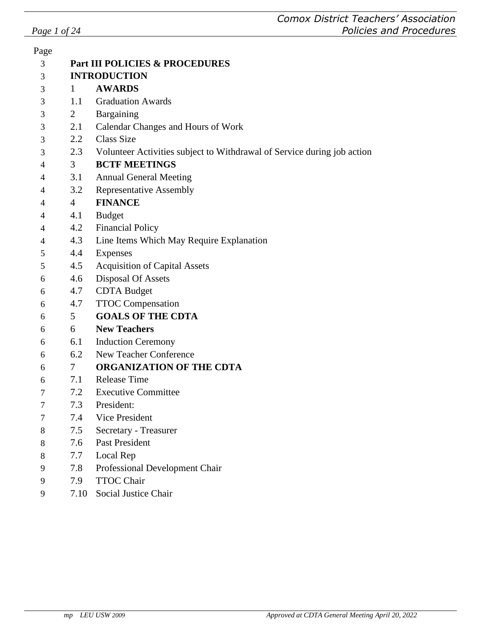| Page           |                                |                                                                             |  |  |  |
|----------------|--------------------------------|-----------------------------------------------------------------------------|--|--|--|
| 3              | Part III POLICIES & PROCEDURES |                                                                             |  |  |  |
| 3              | <b>INTRODUCTION</b>            |                                                                             |  |  |  |
| 3              | $\mathbf{1}$                   | <b>AWARDS</b>                                                               |  |  |  |
| 3              | 1.1                            | <b>Graduation Awards</b>                                                    |  |  |  |
| 3              | 2                              | Bargaining                                                                  |  |  |  |
| 3              | 2.1                            | Calendar Changes and Hours of Work                                          |  |  |  |
| 3              | 2.2                            | <b>Class Size</b>                                                           |  |  |  |
| 3              |                                | 2.3 Volunteer Activities subject to Withdrawal of Service during job action |  |  |  |
| 4              | 3 <sup>7</sup>                 | <b>BCTF MEETINGS</b>                                                        |  |  |  |
| 4              | 3.1                            | <b>Annual General Meeting</b>                                               |  |  |  |
| 4              | 3.2                            | <b>Representative Assembly</b>                                              |  |  |  |
| $\overline{4}$ | 4                              | <b>FINANCE</b>                                                              |  |  |  |
| 4              | 4.1                            | <b>Budget</b>                                                               |  |  |  |
| 4              | 4.2                            | <b>Financial Policy</b>                                                     |  |  |  |
| 4              | 4.3                            | Line Items Which May Require Explanation                                    |  |  |  |
| 5              | 4.4                            | <b>Expenses</b>                                                             |  |  |  |
| 5              | 4.5                            | <b>Acquisition of Capital Assets</b>                                        |  |  |  |
| 6              | 4.6                            | Disposal Of Assets                                                          |  |  |  |
| 6              |                                | 4.7 CDTA Budget                                                             |  |  |  |
| 6              | 4.7                            | <b>TTOC</b> Compensation                                                    |  |  |  |
| 6              | 5 <sup>5</sup>                 | <b>GOALS OF THE CDTA</b>                                                    |  |  |  |
| 6              | $6\degree$                     | <b>New Teachers</b>                                                         |  |  |  |
| 6              | 6.1                            | <b>Induction Ceremony</b>                                                   |  |  |  |
| 6              | 6.2                            | New Teacher Conference                                                      |  |  |  |
| 6              | $7\degree$                     | <b>ORGANIZATION OF THE CDTA</b>                                             |  |  |  |
| 6              | 7.1                            | <b>Release Time</b>                                                         |  |  |  |
| $\tau$         | 7.2                            | <b>Executive Committee</b>                                                  |  |  |  |
| 7              | 7.3                            | President:                                                                  |  |  |  |
| 7              | 7.4                            | Vice President                                                              |  |  |  |
| 8              | 7.5                            | Secretary - Treasurer                                                       |  |  |  |
| 8              | 7.6                            | <b>Past President</b>                                                       |  |  |  |
| 8              | 7.7                            | Local Rep                                                                   |  |  |  |
| 9              | 7.8                            | Professional Development Chair                                              |  |  |  |
| 9              | 7.9                            | <b>TTOC Chair</b>                                                           |  |  |  |
| 9              | 7.10                           | Social Justice Chair                                                        |  |  |  |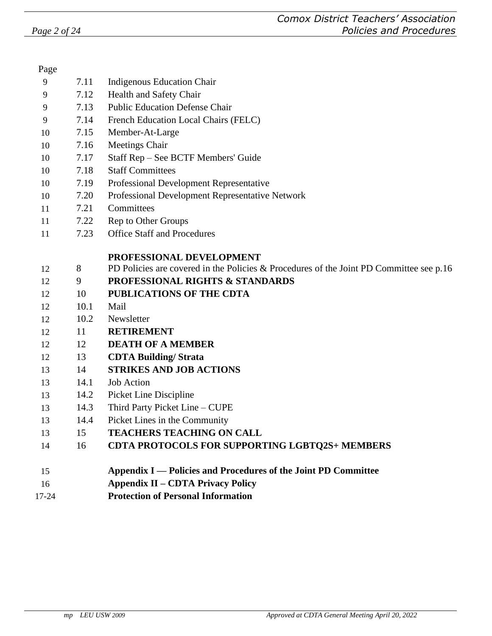| Page  |      |                                                                                         |
|-------|------|-----------------------------------------------------------------------------------------|
| 9     | 7.11 | <b>Indigenous Education Chair</b>                                                       |
| 9     | 7.12 | Health and Safety Chair                                                                 |
| 9     | 7.13 | <b>Public Education Defense Chair</b>                                                   |
| 9     | 7.14 | French Education Local Chairs (FELC)                                                    |
| 10    | 7.15 | Member-At-Large                                                                         |
| 10    | 7.16 | <b>Meetings Chair</b>                                                                   |
| 10    | 7.17 | Staff Rep - See BCTF Members' Guide                                                     |
| 10    | 7.18 | <b>Staff Committees</b>                                                                 |
| 10    | 7.19 | Professional Development Representative                                                 |
| 10    | 7.20 | Professional Development Representative Network                                         |
| 11    | 7.21 | Committees                                                                              |
| 11    | 7.22 | Rep to Other Groups                                                                     |
| 11    | 7.23 | <b>Office Staff and Procedures</b>                                                      |
|       |      | PROFESSIONAL DEVELOPMENT                                                                |
| 12    | 8    | PD Policies are covered in the Policies & Procedures of the Joint PD Committee see p.16 |
| 12    | 9    | <b>PROFESSIONAL RIGHTS &amp; STANDARDS</b>                                              |
| 12    | 10   | PUBLICATIONS OF THE CDTA                                                                |
| 12    | 10.1 | Mail                                                                                    |
| 12    | 10.2 | Newsletter                                                                              |
| 12    | 11   | <b>RETIREMENT</b>                                                                       |
| 12    | 12   | <b>DEATH OF A MEMBER</b>                                                                |
| 12    | 13   | <b>CDTA Building/Strata</b>                                                             |
| 13    | 14   | <b>STRIKES AND JOB ACTIONS</b>                                                          |
| 13    | 14.1 | <b>Job Action</b>                                                                       |
| 13    | 14.2 | Picket Line Discipline                                                                  |
| 13    | 14.3 | Third Party Picket Line - CUPE                                                          |
| 13    | 14.4 | Picket Lines in the Community                                                           |
| 13    | 15   | <b>TEACHERS TEACHING ON CALL</b>                                                        |
| 14    | 16   | <b>CDTA PROTOCOLS FOR SUPPORTING LGBTQ2S+ MEMBERS</b>                                   |
| 15    |      | Appendix I — Policies and Procedures of the Joint PD Committee                          |
| 16    |      | <b>Appendix II – CDTA Privacy Policy</b>                                                |
| 17-24 |      | <b>Protection of Personal Information</b>                                               |
|       |      |                                                                                         |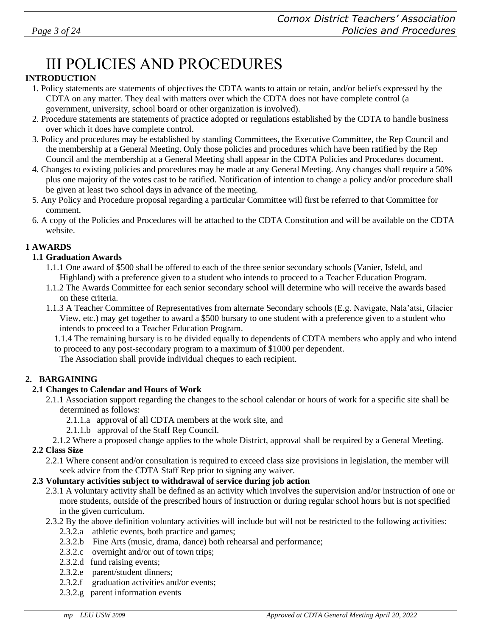# III POLICIES AND PROCEDURES

#### **INTRODUCTION**

- 1. Policy statements are statements of objectives the CDTA wants to attain or retain, and/or beliefs expressed by the CDTA on any matter. They deal with matters over which the CDTA does not have complete control (a government, university, school board or other organization is involved).
- 2. Procedure statements are statements of practice adopted or regulations established by the CDTA to handle business over which it does have complete control.
- 3. Policy and procedures may be established by standing Committees, the Executive Committee, the Rep Council and the membership at a General Meeting. Only those policies and procedures which have been ratified by the Rep Council and the membership at a General Meeting shall appear in the CDTA Policies and Procedures document.
- 4. Changes to existing policies and procedures may be made at any General Meeting. Any changes shall require a 50% plus one majority of the votes cast to be ratified. Notification of intention to change a policy and/or procedure shall be given at least two school days in advance of the meeting.
- 5. Any Policy and Procedure proposal regarding a particular Committee will first be referred to that Committee for comment.
- 6. A copy of the Policies and Procedures will be attached to the CDTA Constitution and will be available on the CDTA website.

#### **1 AWARDS**

#### **1.1 Graduation Awards**

- 1.1.1 One award of \$500 shall be offered to each of the three senior secondary schools (Vanier, Isfeld, and Highland) with a preference given to a student who intends to proceed to a Teacher Education Program.
- 1.1.2 The Awards Committee for each senior secondary school will determine who will receive the awards based on these criteria.
- 1.1.3 A Teacher Committee of Representatives from alternate Secondary schools (E.g. Navigate, Nala'atsi, Glacier View, etc.) may get together to award a \$500 bursary to one student with a preference given to a student who intends to proceed to a Teacher Education Program.

1.1.4 The remaining bursary is to be divided equally to dependents of CDTA members who apply and who intend to proceed to any post-secondary program to a maximum of \$1000 per dependent.

The Association shall provide individual cheques to each recipient.

#### **2. BARGAINING**

#### **2.1 Changes to Calendar and Hours of Work**

- 2.1.1 Association support regarding the changes to the school calendar or hours of work for a specific site shall be determined as follows:
	- 2.1.1.a approval of all CDTA members at the work site, and
	- 2.1.1.b approval of the Staff Rep Council.
	- 2.1.2 Where a proposed change applies to the whole District, approval shall be required by a General Meeting.

#### **2.2 Class Size**

2.2.1 Where consent and/or consultation is required to exceed class size provisions in legislation, the member will seek advice from the CDTA Staff Rep prior to signing any waiver.

#### **2.3 Voluntary activities subject to withdrawal of service during job action**

- 2.3.1 A voluntary activity shall be defined as an activity which involves the supervision and/or instruction of one or more students, outside of the prescribed hours of instruction or during regular school hours but is not specified in the given curriculum.
- 2.3.2 By the above definition voluntary activities will include but will not be restricted to the following activities:
	- 2.3.2.a athletic events, both practice and games;
	- 2.3.2.b Fine Arts (music, drama, dance) both rehearsal and performance;
	- 2.3.2.c overnight and/or out of town trips;
	- 2.3.2.d fund raising events;
	- 2.3.2.e parent/student dinners;
	- 2.3.2.f graduation activities and/or events;
	- 2.3.2.g parent information events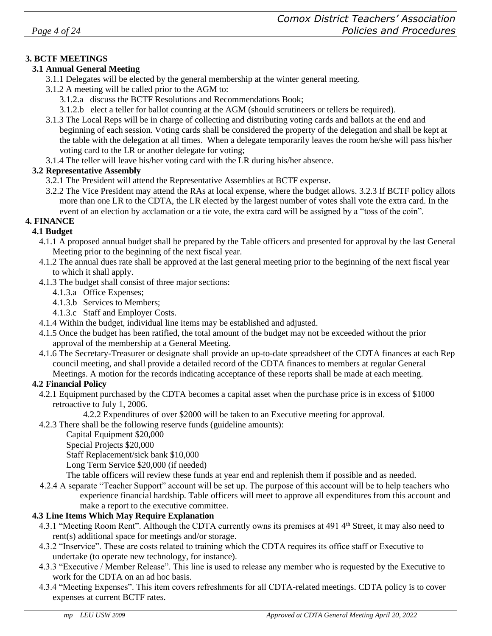#### **3. BCTF MEETINGS**

#### **3.1 Annual General Meeting**

- 3.1.1 Delegates will be elected by the general membership at the winter general meeting.
- 3.1.2 A meeting will be called prior to the AGM to:
	- 3.1.2.a discuss the BCTF Resolutions and Recommendations Book;
	- 3.1.2.b elect a teller for ballot counting at the AGM (should scrutineers or tellers be required).
- 3.1.3 The Local Reps will be in charge of collecting and distributing voting cards and ballots at the end and beginning of each session. Voting cards shall be considered the property of the delegation and shall be kept at the table with the delegation at all times. When a delegate temporarily leaves the room he/she will pass his/her voting card to the LR or another delegate for voting;
- 3.1.4 The teller will leave his/her voting card with the LR during his/her absence.

#### **3.2 Representative Assembly**

- 3.2.1 The President will attend the Representative Assemblies at BCTF expense.
- 3.2.2 The Vice President may attend the RAs at local expense, where the budget allows. 3.2.3 If BCTF policy allots more than one LR to the CDTA, the LR elected by the largest number of votes shall vote the extra card. In the event of an election by acclamation or a tie vote, the extra card will be assigned by a "toss of the coin".

#### **4. FINANCE 4.1 Budget**

- 4.1.1 A proposed annual budget shall be prepared by the Table officers and presented for approval by the last General Meeting prior to the beginning of the next fiscal year.
	- 4.1.2 The annual dues rate shall be approved at the last general meeting prior to the beginning of the next fiscal year to which it shall apply.
	- 4.1.3 The budget shall consist of three major sections:
		- 4.1.3.a Office Expenses;
		- 4.1.3.b Services to Members;
		- 4.1.3.c Staff and Employer Costs.
	- 4.1.4 Within the budget, individual line items may be established and adjusted.
	- 4.1.5 Once the budget has been ratified, the total amount of the budget may not be exceeded without the prior approval of the membership at a General Meeting.
	- 4.1.6 The Secretary-Treasurer or designate shall provide an up-to-date spreadsheet of the CDTA finances at each Rep council meeting, and shall provide a detailed record of the CDTA finances to members at regular General Meetings. A motion for the records indicating acceptance of these reports shall be made at each meeting.

#### **4.2 Financial Policy**

4.2.1 Equipment purchased by the CDTA becomes a capital asset when the purchase price is in excess of \$1000 retroactive to July 1, 2006.

4.2.2 Expenditures of over \$2000 will be taken to an Executive meeting for approval.

4.2.3 There shall be the following reserve funds (guideline amounts):

Capital Equipment \$20,000

Special Projects \$20,000

Staff Replacement/sick bank \$10,000

Long Term Service \$20,000 (if needed)

The table officers will review these funds at year end and replenish them if possible and as needed.

4.2.4 A separate "Teacher Support" account will be set up. The purpose of this account will be to help teachers who experience financial hardship. Table officers will meet to approve all expenditures from this account and make a report to the executive committee.

#### **4.3 Line Items Which May Require Explanation**

- 4.3.1 "Meeting Room Rent". Although the CDTA currently owns its premises at 491 4<sup>th</sup> Street, it may also need to rent(s) additional space for meetings and/or storage.
- 4.3.2 "Inservice". These are costs related to training which the CDTA requires its office staff or Executive to undertake (to operate new technology, for instance).
- 4.3.3 "Executive / Member Release". This line is used to release any member who is requested by the Executive to work for the CDTA on an ad hoc basis.
- 4.3.4 "Meeting Expenses". This item covers refreshments for all CDTA-related meetings. CDTA policy is to cover expenses at current BCTF rates.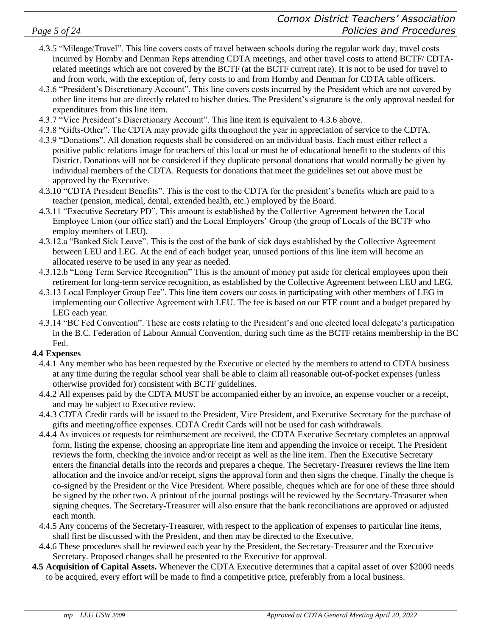- 4.3.5 "Mileage/Travel". This line covers costs of travel between schools during the regular work day, travel costs incurred by Hornby and Denman Reps attending CDTA meetings, and other travel costs to attend BCTF/ CDTArelated meetings which are not covered by the BCTF (at the BCTF current rate). It is not to be used for travel to and from work, with the exception of, ferry costs to and from Hornby and Denman for CDTA table officers.
- 4.3.6 "President's Discretionary Account". This line covers costs incurred by the President which are not covered by other line items but are directly related to his/her duties. The President's signature is the only approval needed for expenditures from this line item.
- 4.3.7 "Vice President's Discretionary Account". This line item is equivalent to 4.3.6 above.
- 4.3.8 "Gifts-Other". The CDTA may provide gifts throughout the year in appreciation of service to the CDTA.
- 4.3.9 "Donations". All donation requests shall be considered on an individual basis. Each must either reflect a positive public relations image for teachers of this local or must be of educational benefit to the students of this District. Donations will not be considered if they duplicate personal donations that would normally be given by individual members of the CDTA. Requests for donations that meet the guidelines set out above must be approved by the Executive.
- 4.3.10 "CDTA President Benefits". This is the cost to the CDTA for the president's benefits which are paid to a teacher (pension, medical, dental, extended health, etc.) employed by the Board.
- 4.3.11 "Executive Secretary PD". This amount is established by the Collective Agreement between the Local Employee Union (our office staff) and the Local Employers' Group (the group of Locals of the BCTF who employ members of LEU).
- 4.3.12.a "Banked Sick Leave". This is the cost of the bank of sick days established by the Collective Agreement between LEU and LEG. At the end of each budget year, unused portions of this line item will become an allocated reserve to be used in any year as needed.
- 4.3.12.b "Long Term Service Recognition" This is the amount of money put aside for clerical employees upon their retirement for long-term service recognition, as established by the Collective Agreement between LEU and LEG.
- 4.3.13 Local Employer Group Fee". This line item covers our costs in participating with other members of LEG in implementing our Collective Agreement with LEU. The fee is based on our FTE count and a budget prepared by LEG each year.
- 4.3.14 "BC Fed Convention". These are costs relating to the President's and one elected local delegate's participation in the B.C. Federation of Labour Annual Convention, during such time as the BCTF retains membership in the BC Fed.

#### **4.4 Expenses**

- 4.4.1 Any member who has been requested by the Executive or elected by the members to attend to CDTA business at any time during the regular school year shall be able to claim all reasonable out-of-pocket expenses (unless otherwise provided for) consistent with BCTF guidelines.
- 4.4.2 All expenses paid by the CDTA MUST be accompanied either by an invoice, an expense voucher or a receipt, and may be subject to Executive review.
- 4.4.3 CDTA Credit cards will be issued to the President, Vice President, and Executive Secretary for the purchase of gifts and meeting/office expenses. CDTA Credit Cards will not be used for cash withdrawals.
- 4.4.4 As invoices or requests for reimbursement are received, the CDTA Executive Secretary completes an approval form, listing the expense, choosing an appropriate line item and appending the invoice or receipt. The President reviews the form, checking the invoice and/or receipt as well as the line item. Then the Executive Secretary enters the financial details into the records and prepares a cheque. The Secretary-Treasurer reviews the line item allocation and the invoice and/or receipt, signs the approval form and then signs the cheque. Finally the cheque is co-signed by the President or the Vice President. Where possible, cheques which are for one of these three should be signed by the other two. A printout of the journal postings will be reviewed by the Secretary-Treasurer when signing cheques. The Secretary-Treasurer will also ensure that the bank reconciliations are approved or adjusted each month.
- 4.4.5 Any concerns of the Secretary-Treasurer, with respect to the application of expenses to particular line items, shall first be discussed with the President, and then may be directed to the Executive.
- 4.4.6 These procedures shall be reviewed each year by the President, the Secretary-Treasurer and the Executive Secretary. Proposed changes shall be presented to the Executive for approval.
- **4.5 Acquisition of Capital Assets.** Whenever the CDTA Executive determines that a capital asset of over \$2000 needs to be acquired, every effort will be made to find a competitive price, preferably from a local business.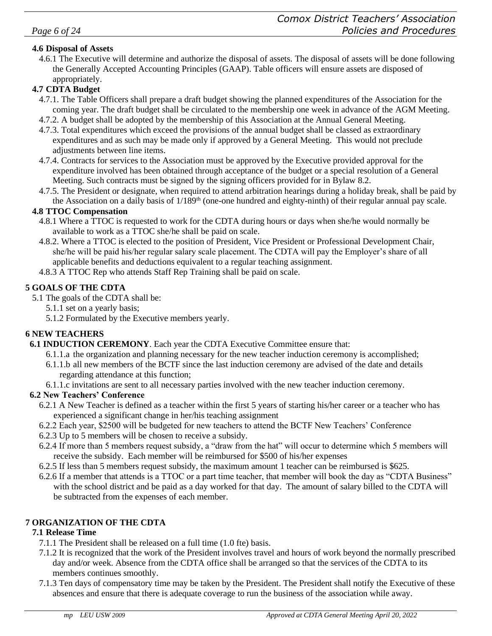#### **4.6 Disposal of Assets**

4.6.1 The Executive will determine and authorize the disposal of assets. The disposal of assets will be done following the Generally Accepted Accounting Principles (GAAP). Table officers will ensure assets are disposed of appropriately.

#### **4.7 CDTA Budget**

- 4.7.1. The Table Officers shall prepare a draft budget showing the planned expenditures of the Association for the coming year. The draft budget shall be circulated to the membership one week in advance of the AGM Meeting.
- 4.7.2. A budget shall be adopted by the membership of this Association at the Annual General Meeting.
- 4.7.3. Total expenditures which exceed the provisions of the annual budget shall be classed as extraordinary expenditures and as such may be made only if approved by a General Meeting. This would not preclude adjustments between line items.
- 4.7.4. Contracts for services to the Association must be approved by the Executive provided approval for the expenditure involved has been obtained through acceptance of the budget or a special resolution of a General Meeting. Such contracts must be signed by the signing officers provided for in Bylaw 8.2.
- 4.7.5. The President or designate, when required to attend arbitration hearings during a holiday break, shall be paid by the Association on a daily basis of  $1/189<sup>th</sup>$  (one-one hundred and eighty-ninth) of their regular annual pay scale.

#### **4.8 TTOC Compensation**

- 4.8.1 Where a TTOC is requested to work for the CDTA during hours or days when she/he would normally be available to work as a TTOC she/he shall be paid on scale.
- 4.8.2. Where a TTOC is elected to the position of President, Vice President or Professional Development Chair, she/he will be paid his/her regular salary scale placement. The CDTA will pay the Employer's share of all applicable benefits and deductions equivalent to a regular teaching assignment.
- 4.8.3 A TTOC Rep who attends Staff Rep Training shall be paid on scale.

#### **5 GOALS OF THE CDTA**

- 5.1 The goals of the CDTA shall be:
	- 5.1.1 set on a yearly basis;
	- 5.1.2 Formulated by the Executive members yearly.

#### **6 NEW TEACHERS**

- **6.1 INDUCTION CEREMONY**. Each year the CDTA Executive Committee ensure that:
	- 6.1.1.a the organization and planning necessary for the new teacher induction ceremony is accomplished;
	- 6.1.1.b all new members of the BCTF since the last induction ceremony are advised of the date and details regarding attendance at this function;
	- 6.1.1.c invitations are sent to all necessary parties involved with the new teacher induction ceremony.

#### **6.2 New Teachers' Conference**

- 6.2.1 A New Teacher is defined as a teacher within the first 5 years of starting his/her career or a teacher who has experienced a significant change in her/his teaching assignment
- 6.2.2 Each year, \$2500 will be budgeted for new teachers to attend the BCTF New Teachers' Conference
- 6.2.3 Up to 5 members will be chosen to receive a subsidy.
- 6.2.4 If more than 5 members request subsidy, a "draw from the hat" will occur to determine which 5 members will receive the subsidy. Each member will be reimbursed for \$500 of his/her expenses
- 6.2.5 If less than 5 members request subsidy, the maximum amount 1 teacher can be reimbursed is \$625.
- 6.2.6 If a member that attends is a TTOC or a part time teacher, that member will book the day as "CDTA Business" with the school district and be paid as a day worked for that day. The amount of salary billed to the CDTA will be subtracted from the expenses of each member.

#### **7 ORGANIZATION OF THE CDTA**

#### **7.1 Release Time**

- 7.1.1 The President shall be released on a full time (1.0 fte) basis.
- 7.1.2 It is recognized that the work of the President involves travel and hours of work beyond the normally prescribed day and/or week. Absence from the CDTA office shall be arranged so that the services of the CDTA to its members continues smoothly.
- 7.1.3 Ten days of compensatory time may be taken by the President. The President shall notify the Executive of these absences and ensure that there is adequate coverage to run the business of the association while away.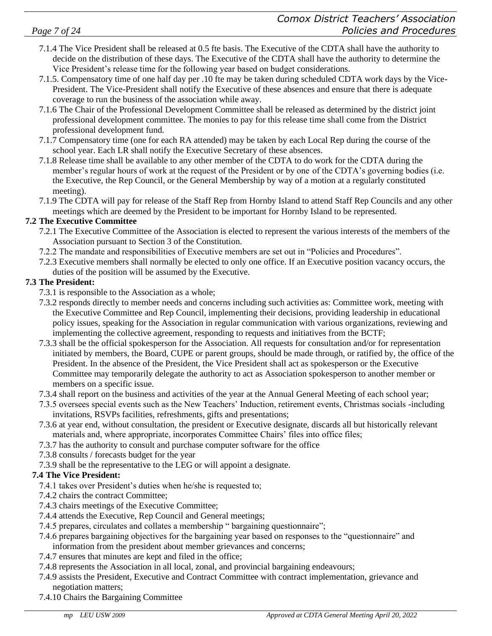- 7.1.4 The Vice President shall be released at 0.5 fte basis. The Executive of the CDTA shall have the authority to decide on the distribution of these days. The Executive of the CDTA shall have the authority to determine the Vice President's release time for the following year based on budget considerations.
- 7.1.5. Compensatory time of one half day per .10 fte may be taken during scheduled CDTA work days by the Vice-President. The Vice-President shall notify the Executive of these absences and ensure that there is adequate coverage to run the business of the association while away.
- 7.1.6 The Chair of the Professional Development Committee shall be released as determined by the district joint professional development committee. The monies to pay for this release time shall come from the District professional development fund.
- 7.1.7 Compensatory time (one for each RA attended) may be taken by each Local Rep during the course of the school year. Each LR shall notify the Executive Secretary of these absences.
- 7.1.8 Release time shall be available to any other member of the CDTA to do work for the CDTA during the member's regular hours of work at the request of the President or by one of the CDTA's governing bodies (i.e. the Executive, the Rep Council, or the General Membership by way of a motion at a regularly constituted meeting).
- 7.1.9 The CDTA will pay for release of the Staff Rep from Hornby Island to attend Staff Rep Councils and any other meetings which are deemed by the President to be important for Hornby Island to be represented.

#### **7.2 The Executive Committee**

- 7.2.1 The Executive Committee of the Association is elected to represent the various interests of the members of the Association pursuant to Section 3 of the Constitution.
- 7.2.2 The mandate and responsibilities of Executive members are set out in "Policies and Procedures".
- 7.2.3 Executive members shall normally be elected to only one office. If an Executive position vacancy occurs, the duties of the position will be assumed by the Executive.

### **7.3 The President:**

- 7.3.1 is responsible to the Association as a whole;
- 7.3.2 responds directly to member needs and concerns including such activities as: Committee work, meeting with the Executive Committee and Rep Council, implementing their decisions, providing leadership in educational policy issues, speaking for the Association in regular communication with various organizations, reviewing and implementing the collective agreement, responding to requests and initiatives from the BCTF;
- 7.3.3 shall be the official spokesperson for the Association. All requests for consultation and/or for representation initiated by members, the Board, CUPE or parent groups, should be made through, or ratified by, the office of the President. In the absence of the President, the Vice President shall act as spokesperson or the Executive Committee may temporarily delegate the authority to act as Association spokesperson to another member or members on a specific issue.
- 7.3.4 shall report on the business and activities of the year at the Annual General Meeting of each school year;
- 7.3.5 oversees special events such as the New Teachers' Induction, retirement events, Christmas socials -including invitations, RSVPs facilities, refreshments, gifts and presentations;
- 7.3.6 at year end, without consultation, the president or Executive designate, discards all but historically relevant materials and, where appropriate, incorporates Committee Chairs' files into office files;
- 7.3.7 has the authority to consult and purchase computer software for the office
- 7.3.8 consults / forecasts budget for the year
- 7.3.9 shall be the representative to the LEG or will appoint a designate.

# **7.4 The Vice President:**

- 7.4.1 takes over President's duties when he/she is requested to;
- 7.4.2 chairs the contract Committee;
- 7.4.3 chairs meetings of the Executive Committee;
- 7.4.4 attends the Executive, Rep Council and General meetings;
- 7.4.5 prepares, circulates and collates a membership " bargaining questionnaire";
- 7.4.6 prepares bargaining objectives for the bargaining year based on responses to the "questionnaire" and information from the president about member grievances and concerns;
- 7.4.7 ensures that minutes are kept and filed in the office;
- 7.4.8 represents the Association in all local, zonal, and provincial bargaining endeavours;
- 7.4.9 assists the President, Executive and Contract Committee with contract implementation, grievance and negotiation matters;
- 7.4.10 Chairs the Bargaining Committee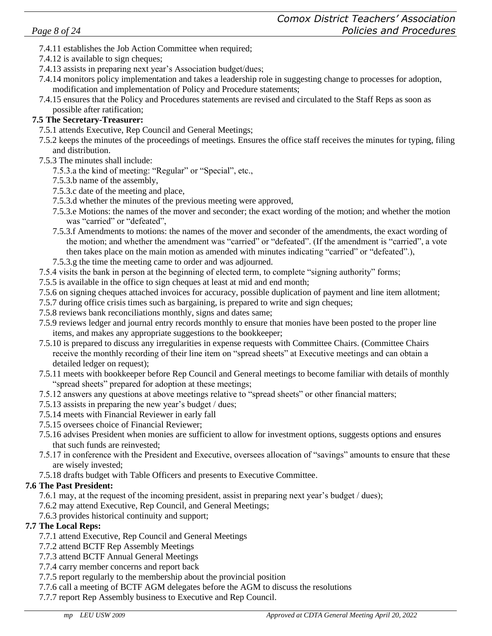- 7.4.11 establishes the Job Action Committee when required;
- 7.4.12 is available to sign cheques;
- 7.4.13 assists in preparing next year's Association budget/dues;
- 7.4.14 monitors policy implementation and takes a leadership role in suggesting change to processes for adoption, modification and implementation of Policy and Procedure statements;
- 7.4.15 ensures that the Policy and Procedures statements are revised and circulated to the Staff Reps as soon as possible after ratification;

#### **7.5 The Secretary-Treasurer:**

- 7.5.1 attends Executive, Rep Council and General Meetings;
- 7.5.2 keeps the minutes of the proceedings of meetings. Ensures the office staff receives the minutes for typing, filing and distribution.
- 7.5.3 The minutes shall include:
	- 7.5.3.a the kind of meeting: "Regular" or "Special", etc.,
	- 7.5.3.b name of the assembly,
	- 7.5.3.c date of the meeting and place,
	- 7.5.3.d whether the minutes of the previous meeting were approved,
	- 7.5.3.e Motions: the names of the mover and seconder; the exact wording of the motion; and whether the motion was "carried" or "defeated",
	- 7.5.3.f Amendments to motions: the names of the mover and seconder of the amendments, the exact wording of the motion; and whether the amendment was "carried" or "defeated". (If the amendment is "carried", a vote then takes place on the main motion as amended with minutes indicating "carried" or "defeated".),
	- 7.5.3.g the time the meeting came to order and was adjourned.
- 7.5.4 visits the bank in person at the beginning of elected term, to complete "signing authority" forms;
- 7.5.5 is available in the office to sign cheques at least at mid and end month;
- 7.5.6 on signing cheques attached invoices for accuracy, possible duplication of payment and line item allotment;
- 7.5.7 during office crisis times such as bargaining, is prepared to write and sign cheques;
- 7.5.8 reviews bank reconciliations monthly, signs and dates same;
- 7.5.9 reviews ledger and journal entry records monthly to ensure that monies have been posted to the proper line items, and makes any appropriate suggestions to the bookkeeper;
- 7.5.10 is prepared to discuss any irregularities in expense requests with Committee Chairs. (Committee Chairs receive the monthly recording of their line item on "spread sheets" at Executive meetings and can obtain a detailed ledger on request);
- 7.5.11 meets with bookkeeper before Rep Council and General meetings to become familiar with details of monthly "spread sheets" prepared for adoption at these meetings;
- 7.5.12 answers any questions at above meetings relative to "spread sheets" or other financial matters;
- 7.5.13 assists in preparing the new year's budget / dues;
- 7.5.14 meets with Financial Reviewer in early fall
- 7.5.15 oversees choice of Financial Reviewer;
- 7.5.16 advises President when monies are sufficient to allow for investment options, suggests options and ensures that such funds are reinvested;
- 7.5.17 in conference with the President and Executive, oversees allocation of "savings" amounts to ensure that these are wisely invested;
- 7.5.18 drafts budget with Table Officers and presents to Executive Committee.

#### **7.6 The Past President:**

- 7.6.1 may, at the request of the incoming president, assist in preparing next year's budget / dues);
- 7.6.2 may attend Executive, Rep Council, and General Meetings;
- 7.6.3 provides historical continuity and support;

#### **7.7 The Local Reps:**

- 7.7.1 attend Executive, Rep Council and General Meetings
- 7.7.2 attend BCTF Rep Assembly Meetings
- 7.7.3 attend BCTF Annual General Meetings
- 7.7.4 carry member concerns and report back
- 7.7.5 report regularly to the membership about the provincial position
- 7.7.6 call a meeting of BCTF AGM delegates before the AGM to discuss the resolutions
- 7.7.7 report Rep Assembly business to Executive and Rep Council.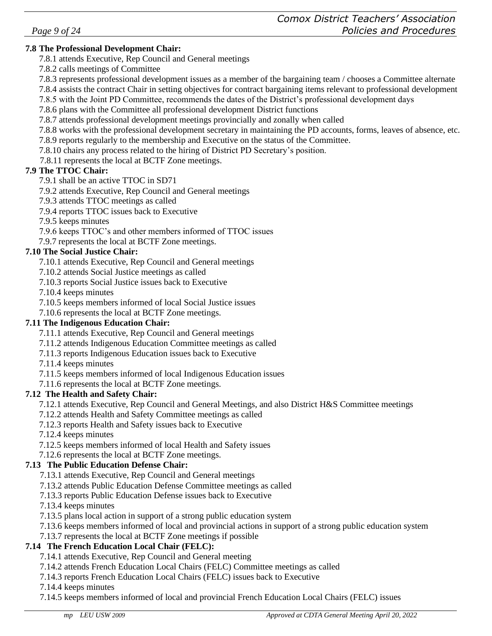7.8.7 attends professional development meetings provincially and zonally when called

7.8.8 works with the professional development secretary in maintaining the PD accounts, forms, leaves of absence, etc.

7.8.3 represents professional development issues as a member of the bargaining team / chooses a Committee alternate 7.8.4 assists the contract Chair in setting objectives for contract bargaining items relevant to professional development

7.8.5 with the Joint PD Committee, recommends the dates of the District's professional development days

7.8.9 reports regularly to the membership and Executive on the status of the Committee.

7.8.10 chairs any process related to the hiring of District PD Secretary's position.

7.8.11 represents the local at BCTF Zone meetings.

# **7.9 The TTOC Chair:**

7.9.1 shall be an active TTOC in SD71

**7.8 The Professional Development Chair:** 

7.8.2 calls meetings of Committee

7.9.2 attends Executive, Rep Council and General meetings

7.8.1 attends Executive, Rep Council and General meetings

7.9.3 attends TTOC meetings as called

7.9.4 reports TTOC issues back to Executive

7.9.5 keeps minutes

7.9.6 keeps TTOC's and other members informed of TTOC issues

7.9.7 represents the local at BCTF Zone meetings.

# **7.10 The Social Justice Chair:**

7.10.1 attends Executive, Rep Council and General meetings

7.10.2 attends Social Justice meetings as called

7.10.3 reports Social Justice issues back to Executive

7.10.4 keeps minutes

7.10.5 keeps members informed of local Social Justice issues

7.10.6 represents the local at BCTF Zone meetings.

# **7.11 The Indigenous Education Chair:**

7.11.1 attends Executive, Rep Council and General meetings

7.11.2 attends Indigenous Education Committee meetings as called

7.11.3 reports Indigenous Education issues back to Executive

7.11.4 keeps minutes

7.11.5 keeps members informed of local Indigenous Education issues

7.11.6 represents the local at BCTF Zone meetings.

# **7.12 The Health and Safety Chair:**

7.12.1 attends Executive, Rep Council and General Meetings, and also District H&S Committee meetings

7.12.2 attends Health and Safety Committee meetings as called

7.12.3 reports Health and Safety issues back to Executive

7.12.4 keeps minutes

7.12.5 keeps members informed of local Health and Safety issues

7.12.6 represents the local at BCTF Zone meetings.

# **7.13 The Public Education Defense Chair:**

7.13.1 attends Executive, Rep Council and General meetings

7.13.2 attends Public Education Defense Committee meetings as called

7.13.3 reports Public Education Defense issues back to Executive

7.13.4 keeps minutes

7.13.5 plans local action in support of a strong public education system

7.13.6 keeps members informed of local and provincial actions in support of a strong public education system

7.13.7 represents the local at BCTF Zone meetings if possible

# **7.14 The French Education Local Chair (FELC):**

7.14.1 attends Executive, Rep Council and General meeting

7.14.2 attends French Education Local Chairs (FELC) Committee meetings as called

7.14.3 reports French Education Local Chairs (FELC) issues back to Executive

7.14.4 keeps minutes

7.14.5 keeps members informed of local and provincial French Education Local Chairs (FELC) issues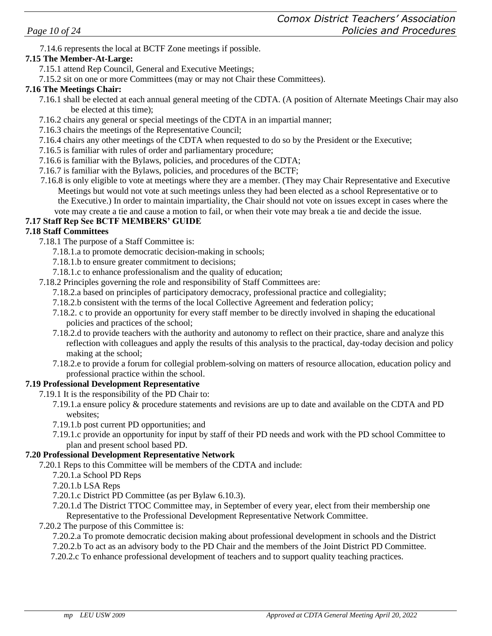7.14.6 represents the local at BCTF Zone meetings if possible.

#### **7.15 The Member-At-Large:**

- 7.15.1 attend Rep Council, General and Executive Meetings;
- 7.15.2 sit on one or more Committees (may or may not Chair these Committees).

#### **7.16 The Meetings Chair:**

- 7.16.1 shall be elected at each annual general meeting of the CDTA. (A position of Alternate Meetings Chair may also be elected at this time);
- 7.16.2 chairs any general or special meetings of the CDTA in an impartial manner;
- 7.16.3 chairs the meetings of the Representative Council;
- 7.16.4 chairs any other meetings of the CDTA when requested to do so by the President or the Executive;
- 7.16.5 is familiar with rules of order and parliamentary procedure;
- 7.16.6 is familiar with the Bylaws, policies, and procedures of the CDTA;
- 7.16.7 is familiar with the Bylaws, policies, and procedures of the BCTF;
- 7.16.8 is only eligible to vote at meetings where they are a member. (They may Chair Representative and Executive Meetings but would not vote at such meetings unless they had been elected as a school Representative or to the Executive.) In order to maintain impartiality, the Chair should not vote on issues except in cases where the vote may create a tie and cause a motion to fail, or when their vote may break a tie and decide the issue.

#### **7.17 Staff Rep See BCTF MEMBERS' GUIDE**

#### **7.18 Staff Committees**

- 7.18.1 The purpose of a Staff Committee is:
	- 7.18.1.a to promote democratic decision-making in schools;
	- 7.18.1.b to ensure greater commitment to decisions;
	- 7.18.1.c to enhance professionalism and the quality of education;
- 7.18.2 Principles governing the role and responsibility of Staff Committees are:
	- 7.18.2.a based on principles of participatory democracy, professional practice and collegiality;
	- 7.18.2.b consistent with the terms of the local Collective Agreement and federation policy;
	- 7.18.2. c to provide an opportunity for every staff member to be directly involved in shaping the educational policies and practices of the school;
	- 7.18.2.d to provide teachers with the authority and autonomy to reflect on their practice, share and analyze this reflection with colleagues and apply the results of this analysis to the practical, day-today decision and policy making at the school;
	- 7.18.2.e to provide a forum for collegial problem-solving on matters of resource allocation, education policy and professional practice within the school.

#### **7.19 Professional Development Representative**

- 7.19.1 It is the responsibility of the PD Chair to:
	- 7.19.1.a ensure policy & procedure statements and revisions are up to date and available on the CDTA and PD websites;
	- 7.19.1.b post current PD opportunities; and
	- 7.19.1.c provide an opportunity for input by staff of their PD needs and work with the PD school Committee to plan and present school based PD.

#### **7.20 Professional Development Representative Network**

- 7.20.1 Reps to this Committee will be members of the CDTA and include:
	- 7.20.1.a School PD Reps
	- 7.20.1.b LSA Reps
	- 7.20.1.c District PD Committee (as per Bylaw 6.10.3).
	- 7.20.1.d The District TTOC Committee may, in September of every year, elect from their membership one Representative to the Professional Development Representative Network Committee.
- 7.20.2 The purpose of this Committee is:

7.20.2.a To promote democratic decision making about professional development in schools and the District 7.20.2.b To act as an advisory body to the PD Chair and the members of the Joint District PD Committee.

7.20.2.c To enhance professional development of teachers and to support quality teaching practices.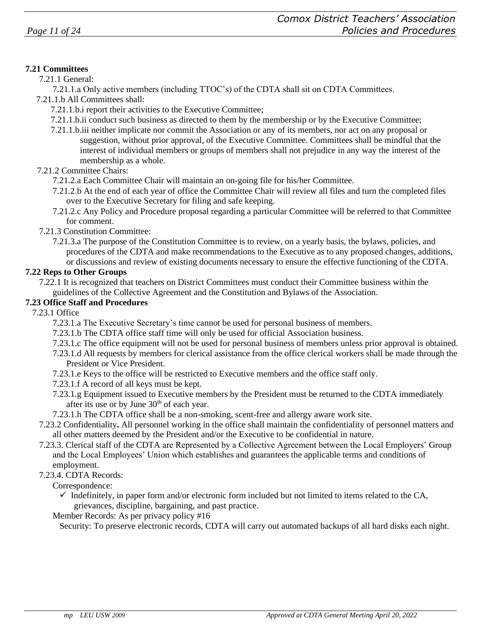#### **7.21 Committees**

#### 7.21.1 General:

7.21.1.a Only active members (including TTOC's) of the CDTA shall sit on CDTA Committees.

- 7.21.1.b All Committees shall:
	- 7.21.1.b.i report their activities to the Executive Committee;
	- 7.21.1.b.ii conduct such business as directed to them by the membership or by the Executive Committee;
	- 7.21.1.b.iii neither implicate nor commit the Association or any of its members, nor act on any proposal or suggestion, without prior approval, of the Executive Committee. Committees shall be mindful that the interest of individual members or groups of members shall not prejudice in any way the interest of the membership as a whole.

#### 7.21.2 Committee Chairs:

- 7.21.2.a Each Committee Chair will maintain an on-going file for his/her Committee.
- 7.21.2.b At the end of each year of office the Committee Chair will review all files and turn the completed files over to the Executive Secretary for filing and safe keeping.
- 7.21.2.c Any Policy and Procedure proposal regarding a particular Committee will be referred to that Committee for comment.
- 7.21.3 Constitution Committee:
	- 7.21.3.a The purpose of the Constitution Committee is to review, on a yearly basis, the bylaws, policies, and procedures of the CDTA and make recommendations to the Executive as to any proposed changes, additions, or discussions and review of existing documents necessary to ensure the effective functioning of the CDTA.

#### **7.22 Reps to Other Groups**

#### **7.23 Office Staff and Procedures**

7.23.1 Office

- 7.23.1.a The Executive Secretary's time cannot be used for personal business of members.
- 7.23.1.b The CDTA office staff time will only be used for official Association business.
- 7.23.1.c The office equipment will not be used for personal business of members unless prior approval is obtained.
- 7.23.1.d All requests by members for clerical assistance from the office clerical workers shall be made through the President or Vice President.
- 7.23.1.e Keys to the office will be restricted to Executive members and the office staff only.
- 7.23.1.f A record of all keys must be kept.
- 7.23.1.g Equipment issued to Executive members by the President must be returned to the CDTA immediately after its use or by June  $30<sup>th</sup>$  of each year.
- 7.23.1.h The CDTA office shall be a non-smoking, scent-free and allergy aware work site.
- 7.23.2 Confidentiality**.** All personnel working in the office shall maintain the confidentiality of personnel matters and all other matters deemed by the President and/or the Executive to be confidential in nature.
- 7.23.3. Clerical staff of the CDTA are Represented by a Collective Agreement between the Local Employers' Group and the Local Employees' Union which establishes and guarantees the applicable terms and conditions of employment.
- 7.23.4. CDTA Records:
	- Correspondence:
		- $\checkmark$  Indefinitely, in paper form and/or electronic form included but not limited to items related to the CA, grievances, discipline, bargaining, and past practice.
	- Member Records: As per privacy policy #16

Security: To preserve electronic records, CDTA will carry out automated backups of all hard disks each night.

<sup>7.22.1</sup> It is recognized that teachers on District Committees must conduct their Committee business within the guidelines of the Collective Agreement and the Constitution and Bylaws of the Association.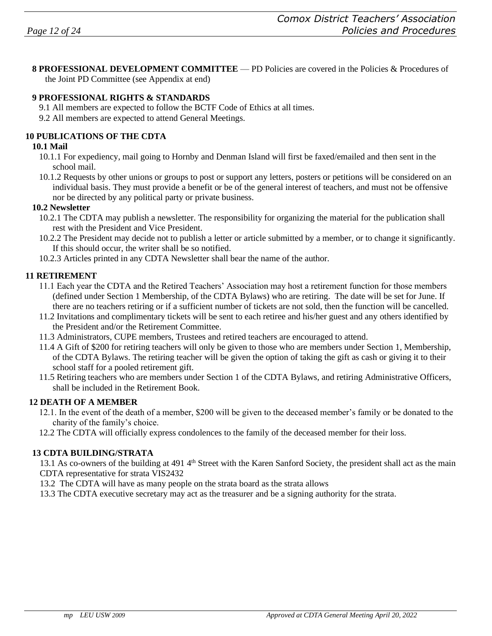**8 PROFESSIONAL DEVELOPMENT COMMITTEE** — PD Policies are covered in the Policies & Procedures of the Joint PD Committee (see Appendix at end)

#### **9 PROFESSIONAL RIGHTS & STANDARDS**

- 9.1 All members are expected to follow the BCTF Code of Ethics at all times.
- 9.2 All members are expected to attend General Meetings.

#### **10 PUBLICATIONS OF THE CDTA**

#### **10.1 Mail**

- 10.1.1 For expediency, mail going to Hornby and Denman Island will first be faxed/emailed and then sent in the school mail.
- 10.1.2 Requests by other unions or groups to post or support any letters, posters or petitions will be considered on an individual basis. They must provide a benefit or be of the general interest of teachers, and must not be offensive nor be directed by any political party or private business.

#### **10.2 Newsletter**

- 10.2.1 The CDTA may publish a newsletter. The responsibility for organizing the material for the publication shall rest with the President and Vice President.
- 10.2.2 The President may decide not to publish a letter or article submitted by a member, or to change it significantly. If this should occur, the writer shall be so notified.
- 10.2.3 Articles printed in any CDTA Newsletter shall bear the name of the author.

#### **11 RETIREMENT**

- 11.1 Each year the CDTA and the Retired Teachers' Association may host a retirement function for those members (defined under Section 1 Membership, of the CDTA Bylaws) who are retiring. The date will be set for June. If there are no teachers retiring or if a sufficient number of tickets are not sold, then the function will be cancelled.
- 11.2 Invitations and complimentary tickets will be sent to each retiree and his/her guest and any others identified by the President and/or the Retirement Committee.
- 11.3 Administrators, CUPE members, Trustees and retired teachers are encouraged to attend.
- 11.4 A Gift of \$200 for retiring teachers will only be given to those who are members under Section 1, Membership, of the CDTA Bylaws. The retiring teacher will be given the option of taking the gift as cash or giving it to their school staff for a pooled retirement gift.
- 11.5 Retiring teachers who are members under Section 1 of the CDTA Bylaws, and retiring Administrative Officers, shall be included in the Retirement Book.

#### **12 DEATH OF A MEMBER**

- 12.1. In the event of the death of a member, \$200 will be given to the deceased member's family or be donated to the charity of the family's choice.
- 12.2 The CDTA will officially express condolences to the family of the deceased member for their loss.

#### **13 CDTA BUILDING/STRATA**

13.1 As co-owners of the building at 491 4<sup>th</sup> Street with the Karen Sanford Society, the president shall act as the main CDTA representative for strata VIS2432

13.2 The CDTA will have as many people on the strata board as the strata allows

13.3 The CDTA executive secretary may act as the treasurer and be a signing authority for the strata.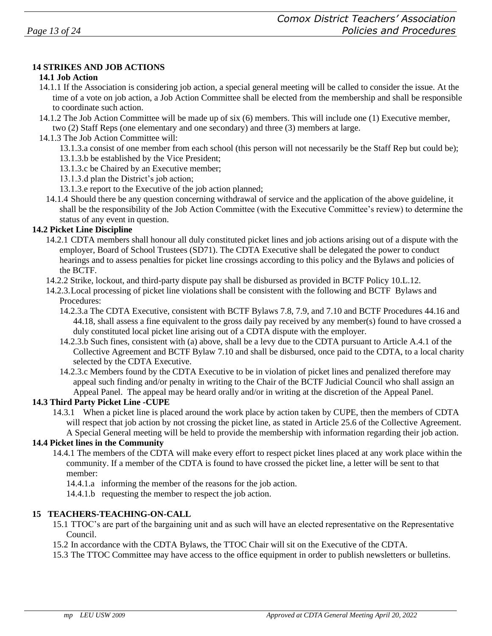#### **14 STRIKES AND JOB ACTIONS**

#### **14.1 Job Action**

- 14.1.1 If the Association is considering job action, a special general meeting will be called to consider the issue. At the time of a vote on job action, a Job Action Committee shall be elected from the membership and shall be responsible to coordinate such action.
- 14.1.2 The Job Action Committee will be made up of six (6) members. This will include one (1) Executive member, two (2) Staff Reps (one elementary and one secondary) and three (3) members at large.
- 14.1.3 The Job Action Committee will:
	- 13.1.3.a consist of one member from each school (this person will not necessarily be the Staff Rep but could be);
	- 13.1.3.b be established by the Vice President;
	- 13.1.3.c be Chaired by an Executive member;
	- 13.1.3.d plan the District's job action;
	- 13.1.3.e report to the Executive of the job action planned;
	- 14.1.4 Should there be any question concerning withdrawal of service and the application of the above guideline, it shall be the responsibility of the Job Action Committee (with the Executive Committee's review) to determine the status of any event in question.

#### **14.2 Picket Line Discipline**

- 14.2.1 CDTA members shall honour all duly constituted picket lines and job actions arising out of a dispute with the employer, Board of School Trustees (SD71). The CDTA Executive shall be delegated the power to conduct hearings and to assess penalties for picket line crossings according to this policy and the Bylaws and policies of the BCTF.
- 14.2.2 Strike, lockout, and third-party dispute pay shall be disbursed as provided in BCTF Policy 10.L.12.
- 14.2.3.Local processing of picket line violations shall be consistent with the following and BCTF Bylaws and Procedures:
	- 14.2.3.a The CDTA Executive, consistent with BCTF Bylaws 7.8, 7.9, and 7.10 and BCTF Procedures 44.16 and 44.18, shall assess a fine equivalent to the gross daily pay received by any member(s) found to have crossed a duly constituted local picket line arising out of a CDTA dispute with the employer.
	- 14.2.3.b Such fines, consistent with (a) above, shall be a levy due to the CDTA pursuant to Article A.4.1 of the Collective Agreement and BCTF Bylaw 7.10 and shall be disbursed, once paid to the CDTA, to a local charity selected by the CDTA Executive.
	- 14.2.3.c Members found by the CDTA Executive to be in violation of picket lines and penalized therefore may appeal such finding and/or penalty in writing to the Chair of the BCTF Judicial Council who shall assign an Appeal Panel. The appeal may be heard orally and/or in writing at the discretion of the Appeal Panel..

#### **14.3 Third Party Picket Line -CUPE**

14.3.1 When a picket line is placed around the work place by action taken by CUPE, then the members of CDTA will respect that job action by not crossing the picket line, as stated in Article 25.6 of the Collective Agreement. A Special General meeting will be held to provide the membership with information regarding their job action.

#### **14.4 Picket lines in the Community**

- 14.4.1 The members of the CDTA will make every effort to respect picket lines placed at any work place within the community. If a member of the CDTA is found to have crossed the picket line, a letter will be sent to that member:
	- 14.4.1.a informing the member of the reasons for the job action.
	- 14.4.1.b requesting the member to respect the job action.

#### **15 TEACHERS-TEACHING-ON-CALL**

- 15.1 TTOC's are part of the bargaining unit and as such will have an elected representative on the Representative Council.
- 15.2 In accordance with the CDTA Bylaws, the TTOC Chair will sit on the Executive of the CDTA.
- 15.3 The TTOC Committee may have access to the office equipment in order to publish newsletters or bulletins.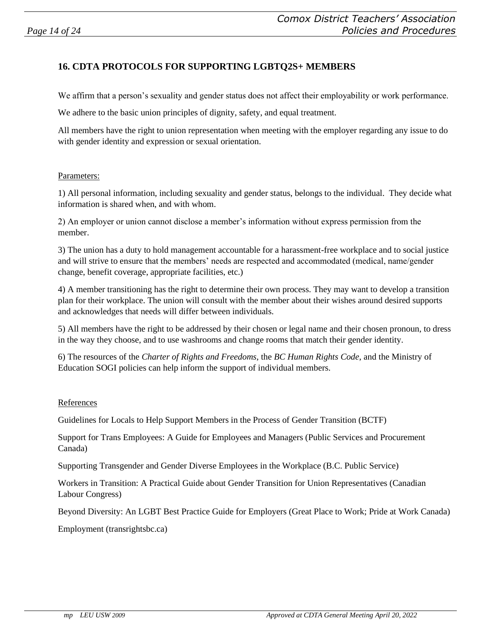# **16. CDTA PROTOCOLS FOR SUPPORTING LGBTQ2S+ MEMBERS**

We affirm that a person's sexuality and gender status does not affect their employability or work performance.

We adhere to the basic union principles of dignity, safety, and equal treatment.

All members have the right to union representation when meeting with the employer regarding any issue to do with gender identity and expression or sexual orientation.

#### Parameters:

1) All personal information, including sexuality and gender status, belongs to the individual. They decide what information is shared when, and with whom.

2) An employer or union cannot disclose a member's information without express permission from the member.

3) The union has a duty to hold management accountable for a harassment-free workplace and to social justice and will strive to ensure that the members' needs are respected and accommodated (medical, name/gender change, benefit coverage, appropriate facilities, etc.)

4) A member transitioning has the right to determine their own process. They may want to develop a transition plan for their workplace. The union will consult with the member about their wishes around desired supports and acknowledges that needs will differ between individuals.

5) All members have the right to be addressed by their chosen or legal name and their chosen pronoun, to dress in the way they choose, and to use washrooms and change rooms that match their gender identity.

6) The resources of the *Charter of Rights and Freedoms*, the *BC Human Rights Code*, and the Ministry of Education SOGI policies can help inform the support of individual members.

#### References

Guidelines for Locals to Help Support Members in the Process of Gender Transition (BCTF)

Support for Trans Employees: A Guide for Employees and Managers (Public Services and Procurement Canada)

Supporting Transgender and Gender Diverse Employees in the Workplace (B.C. Public Service)

Workers in Transition: A Practical Guide about Gender Transition for Union Representatives (Canadian Labour Congress)

Beyond Diversity: An LGBT Best Practice Guide for Employers (Great Place to Work; Pride at Work Canada)

Employment (transrightsbc.ca)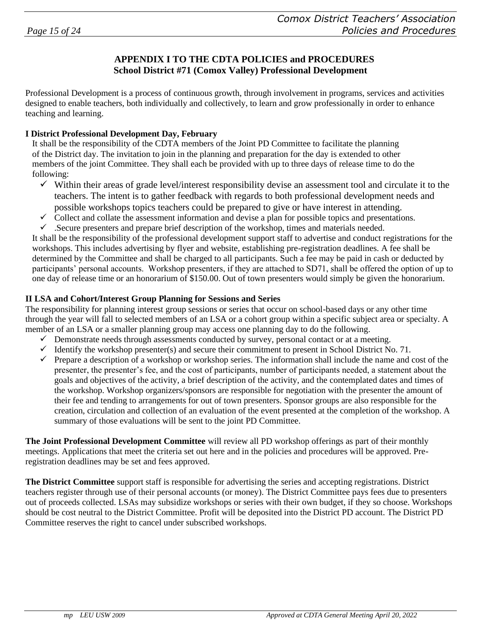#### **APPENDIX I TO THE CDTA POLICIES and PROCEDURES School District #71 (Comox Valley) Professional Development**

Professional Development is a process of continuous growth, through involvement in programs, services and activities designed to enable teachers, both individually and collectively, to learn and grow professionally in order to enhance teaching and learning.

#### **I District Professional Development Day, February**

It shall be the responsibility of the CDTA members of the Joint PD Committee to facilitate the planning of the District day. The invitation to join in the planning and preparation for the day is extended to other members of the joint Committee. They shall each be provided with up to three days of release time to do the following:

- $\checkmark$  Within their areas of grade level/interest responsibility devise an assessment tool and circulate it to the teachers. The intent is to gather feedback with regards to both professional development needs and possible workshops topics teachers could be prepared to give or have interest in attending.
- $\checkmark$  Collect and collate the assessment information and devise a plan for possible topics and presentations.
- $\checkmark$ . Secure presenters and prepare brief description of the workshop, times and materials needed.

It shall be the responsibility of the professional development support staff to advertise and conduct registrations for the workshops. This includes advertising by flyer and website, establishing pre-registration deadlines. A fee shall be determined by the Committee and shall be charged to all participants. Such a fee may be paid in cash or deducted by participants' personal accounts. Workshop presenters, if they are attached to SD71, shall be offered the option of up to one day of release time or an honorarium of \$150.00. Out of town presenters would simply be given the honorarium.

#### **II LSA and Cohort/Interest Group Planning for Sessions and Series**

The responsibility for planning interest group sessions or series that occur on school-based days or any other time through the year will fall to selected members of an LSA or a cohort group within a specific subject area or specialty. A member of an LSA or a smaller planning group may access one planning day to do the following.

- ✓ Demonstrate needs through assessments conducted by survey, personal contact or at a meeting.
- $\checkmark$  Identify the workshop presenter(s) and secure their commitment to present in School District No. 71.
- $\checkmark$  Prepare a description of a workshop or workshop series. The information shall include the name and cost of the presenter, the presenter's fee, and the cost of participants, number of participants needed, a statement about the goals and objectives of the activity, a brief description of the activity, and the contemplated dates and times of the workshop. Workshop organizers/sponsors are responsible for negotiation with the presenter the amount of their fee and tending to arrangements for out of town presenters. Sponsor groups are also responsible for the creation, circulation and collection of an evaluation of the event presented at the completion of the workshop. A summary of those evaluations will be sent to the joint PD Committee.

**The Joint Professional Development Committee** will review all PD workshop offerings as part of their monthly meetings. Applications that meet the criteria set out here and in the policies and procedures will be approved. Preregistration deadlines may be set and fees approved.

**The District Committee** support staff is responsible for advertising the series and accepting registrations. District teachers register through use of their personal accounts (or money). The District Committee pays fees due to presenters out of proceeds collected. LSAs may subsidize workshops or series with their own budget, if they so choose. Workshops should be cost neutral to the District Committee. Profit will be deposited into the District PD account. The District PD Committee reserves the right to cancel under subscribed workshops.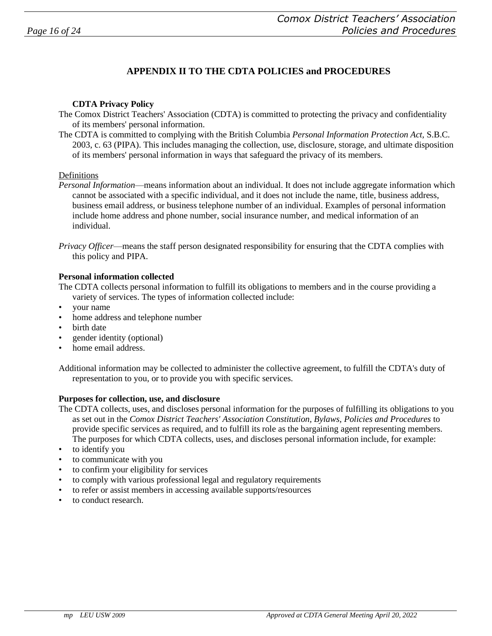# **APPENDIX II TO THE CDTA POLICIES and PROCEDURES**

#### **CDTA Privacy Policy**

- The Comox District Teachers' Association (CDTA) is committed to protecting the privacy and confidentiality of its members' personal information.
- The CDTA is committed to complying with the British Columbia *Personal Information Protection Act,* S.B.C. 2003, c. 63 (PIPA). This includes managing the collection, use, disclosure, storage, and ultimate disposition of its members' personal information in ways that safeguard the privacy of its members.

#### Definitions

*Personal Information*—means information about an individual. It does not include aggregate information which cannot be associated with a specific individual, and it does not include the name, title, business address, business email address, or business telephone number of an individual. Examples of personal information include home address and phone number, social insurance number, and medical information of an individual.

#### **Personal information collected**

The CDTA collects personal information to fulfill its obligations to members and in the course providing a variety of services. The types of information collected include:

- your name
- home address and telephone number
- birth date
- gender identity (optional)
- home email address.

Additional information may be collected to administer the collective agreement, to fulfill the CDTA's duty of representation to you, or to provide you with specific services.

#### **Purposes for collection, use, and disclosure**

- The CDTA collects, uses, and discloses personal information for the purposes of fulfilling its obligations to you as set out in the *Comox District Teachers' Association Constitution, Bylaws, Policies and Procedures* to provide specific services as required, and to fulfill its role as the bargaining agent representing members. The purposes for which CDTA collects, uses, and discloses personal information include, for example:
- to identify you
- to communicate with you
- to confirm your eligibility for services
- to comply with various professional legal and regulatory requirements
- to refer or assist members in accessing available supports/resources
- to conduct research.

*Privacy Officer*—means the staff person designated responsibility for ensuring that the CDTA complies with this policy and PIPA.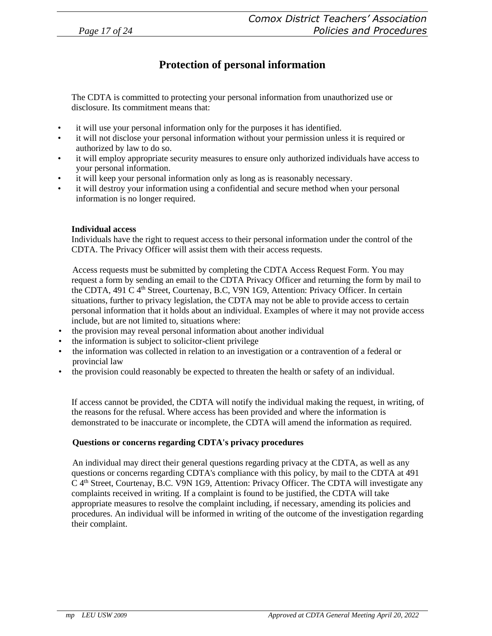# **Protection of personal information**

The CDTA is committed to protecting your personal information from unauthorized use or disclosure. Its commitment means that:

- it will use your personal information only for the purposes it has identified.
- it will not disclose your personal information without your permission unless it is required or authorized by law to do so.
- it will employ appropriate security measures to ensure only authorized individuals have access to your personal information.
- it will keep your personal information only as long as is reasonably necessary.
- it will destroy your information using a confidential and secure method when your personal information is no longer required.

#### **Individual access**

Individuals have the right to request access to their personal information under the control of the CDTA. The Privacy Officer will assist them with their access requests.

Access requests must be submitted by completing the CDTA Access Request Form. You may request a form by sending an email to the CDTA Privacy Officer and returning the form by mail to the CDTA, 491 C 4<sup>th</sup> Street, Courtenay, B.C, V9N 1G9, Attention: Privacy Officer. In certain situations, further to privacy legislation, the CDTA may not be able to provide access to certain personal information that it holds about an individual. Examples of where it may not provide access include, but are not limited to, situations where:

- the provision may reveal personal information about another individual
- the information is subject to solicitor-client privilege
- the information was collected in relation to an investigation or a contravention of a federal or provincial law
- the provision could reasonably be expected to threaten the health or safety of an individual.

If access cannot be provided, the CDTA will notify the individual making the request, in writing, of the reasons for the refusal. Where access has been provided and where the information is demonstrated to be inaccurate or incomplete, the CDTA will amend the information as required.

#### **Questions or concerns regarding CDTA's privacy procedures**

An individual may direct their general questions regarding privacy at the CDTA, as well as any questions or concerns regarding CDTA's compliance with this policy, by mail to the CDTA at 491  $C$  4<sup>th</sup> Street, Courtenay, B.C. V9N 1G9, Attention: Privacy Officer. The CDTA will investigate any complaints received in writing. If a complaint is found to be justified, the CDTA will take appropriate measures to resolve the complaint including, if necessary, amending its policies and procedures. An individual will be informed in writing of the outcome of the investigation regarding their complaint.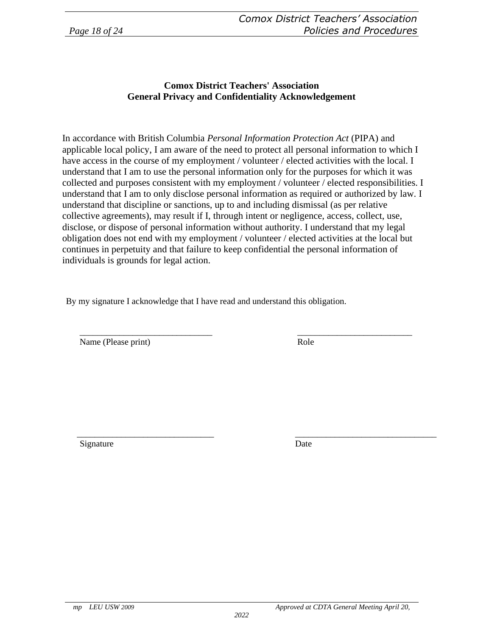### **Comox District Teachers' Association General Privacy and Confidentiality Acknowledgement**

In accordance with British Columbia *Personal Information Protection Act* (PIPA) and applicable local policy, I am aware of the need to protect all personal information to which I have access in the course of my employment / volunteer / elected activities with the local. I understand that I am to use the personal information only for the purposes for which it was collected and purposes consistent with my employment / volunteer / elected responsibilities. I understand that I am to only disclose personal information as required or authorized by law. I understand that discipline or sanctions, up to and including dismissal (as per relative collective agreements), may result if I, through intent or negligence, access, collect, use, disclose, or dispose of personal information without authority. I understand that my legal obligation does not end with my employment / volunteer / elected activities at the local but continues in perpetuity and that failure to keep confidential the personal information of individuals is grounds for legal action.

\_\_\_\_\_\_\_\_\_\_\_\_\_\_\_\_\_\_\_\_\_\_\_\_\_\_\_\_\_\_ \_\_\_\_\_\_\_\_\_\_\_\_\_\_\_\_\_\_\_\_\_\_\_\_\_\_

By my signature I acknowledge that I have read and understand this obligation.

Name (Please print) Role

\_\_\_\_\_\_\_\_\_\_\_\_\_\_\_\_\_\_\_\_\_\_\_\_\_\_\_\_\_\_\_ Signature

\_\_\_\_\_\_\_\_\_\_\_\_\_\_\_\_\_\_\_\_\_\_\_\_\_\_\_\_\_\_\_\_ Date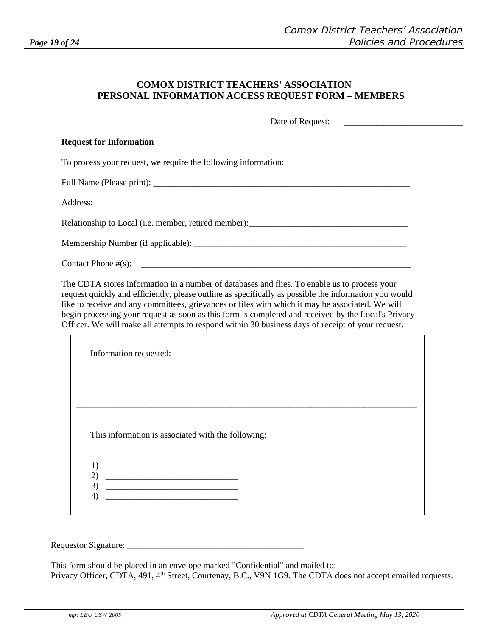#### **COMOX DISTRICT TEACHERS' ASSOCIATION PERSONAL INFORMATION ACCESS REQUEST FORM – MEMBERS**

Date of Request:

#### **Request for Information**

To process your request, we require the following information:

Full Name (Please print): \_\_\_\_\_\_\_\_\_\_\_\_\_\_\_\_\_\_\_\_\_\_\_\_\_\_\_\_\_\_\_\_\_\_\_\_\_\_\_\_\_\_\_\_\_\_\_\_\_\_\_\_\_\_\_\_\_\_

Address:

 $\Gamma$ 

Relationship to Local (i.e. member, retired member): \_\_\_\_\_\_\_\_\_\_\_\_\_\_\_\_\_\_\_\_\_\_\_\_\_\_\_\_

Membership Number (if applicable): \_\_\_\_\_\_\_\_\_\_\_\_\_\_\_\_\_\_\_\_\_\_\_\_\_\_\_\_\_\_\_\_\_\_\_\_\_\_\_\_\_\_\_\_\_\_\_\_

 $\text{Context Phone} \#(\text{s}): \quad \text{________}$ 

The CDTA stores information in a number of databases and flies. To enable us to process your request quickly and efficiently, please outline as specifically as possible the information you would like to receive and any committees, grievances or files with which it may be associated. We will begin processing your request as soon as this form is completed and received by the Local's Privacy Officer. We will make all attempts to respond within 30 business days of receipt of your request.

| Information requested:                  |                                                                                                                      |                                                    |  |  |
|-----------------------------------------|----------------------------------------------------------------------------------------------------------------------|----------------------------------------------------|--|--|
|                                         |                                                                                                                      |                                                    |  |  |
|                                         |                                                                                                                      |                                                    |  |  |
|                                         |                                                                                                                      |                                                    |  |  |
|                                         |                                                                                                                      |                                                    |  |  |
|                                         |                                                                                                                      | This information is associated with the following: |  |  |
|                                         |                                                                                                                      |                                                    |  |  |
| 1)                                      |                                                                                                                      |                                                    |  |  |
| $\mathbf{2}$<br>3)<br>$\left( 4\right)$ | <u> 1989 - Johann Barn, mars ar breithinn ar breithinn ar breithinn ar breithinn ar breithinn ar breithinn ar br</u> |                                                    |  |  |

Requestor Signature:

This form should be placed in an envelope marked "Confidential" and mailed to: Privacy Officer, CDTA, 491, 4<sup>th</sup> Street, Courtenay, B.C., V9N 1G9. The CDTA does not accept emailed requests.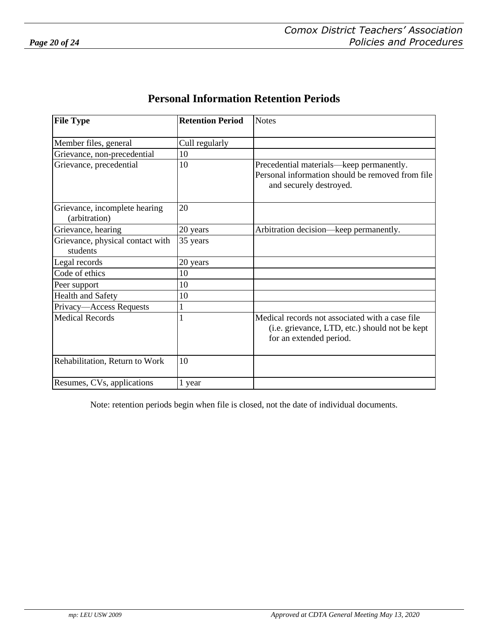| <b>Personal Information Retention Periods</b> |  |
|-----------------------------------------------|--|
|-----------------------------------------------|--|

| <b>File Type</b>                               | <b>Retention Period</b> | <b>Notes</b>                                                                                                                 |
|------------------------------------------------|-------------------------|------------------------------------------------------------------------------------------------------------------------------|
| Member files, general                          | Cull regularly          |                                                                                                                              |
| Grievance, non-precedential                    | 10                      |                                                                                                                              |
| Grievance, precedential                        | 10                      | Precedential materials—keep permanently.<br>Personal information should be removed from file<br>and securely destroyed.      |
| Grievance, incomplete hearing<br>(arbitration) | 20                      |                                                                                                                              |
| Grievance, hearing                             | 20 years                | Arbitration decision—keep permanently.                                                                                       |
| Grievance, physical contact with<br>students   | 35 years                |                                                                                                                              |
| Legal records                                  | 20 years                |                                                                                                                              |
| Code of ethics                                 | 10                      |                                                                                                                              |
| Peer support                                   | 10                      |                                                                                                                              |
| <b>Health and Safety</b>                       | 10                      |                                                                                                                              |
| Privacy-Access Requests                        |                         |                                                                                                                              |
| <b>Medical Records</b>                         |                         | Medical records not associated with a case file<br>(i.e. grievance, LTD, etc.) should not be kept<br>for an extended period. |
| Rehabilitation, Return to Work                 | 10                      |                                                                                                                              |
| Resumes, CVs, applications                     | 1 year                  |                                                                                                                              |

Note: retention periods begin when file is closed, not the date of individual documents.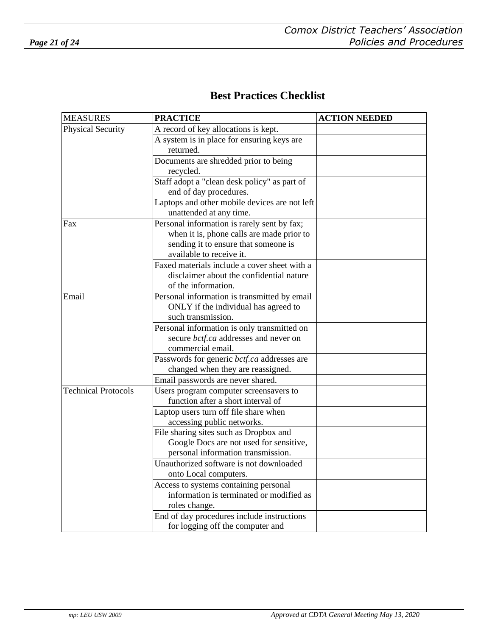# **Best Practices Checklist**

| <b>MEASURES</b>            | <b>PRACTICE</b>                                                              | <b>ACTION NEEDED</b> |
|----------------------------|------------------------------------------------------------------------------|----------------------|
| <b>Physical Security</b>   | A record of key allocations is kept.                                         |                      |
|                            | A system is in place for ensuring keys are                                   |                      |
|                            | returned.                                                                    |                      |
|                            | Documents are shredded prior to being                                        |                      |
|                            | recycled.                                                                    |                      |
|                            | Staff adopt a "clean desk policy" as part of                                 |                      |
|                            | end of day procedures.                                                       |                      |
|                            | Laptops and other mobile devices are not left                                |                      |
|                            | unattended at any time.                                                      |                      |
| Fax                        | Personal information is rarely sent by fax;                                  |                      |
|                            | when it is, phone calls are made prior to                                    |                      |
|                            | sending it to ensure that someone is                                         |                      |
|                            | available to receive it.                                                     |                      |
|                            | Faxed materials include a cover sheet with a                                 |                      |
|                            | disclaimer about the confidential nature                                     |                      |
|                            | of the information.                                                          |                      |
| Email                      | Personal information is transmitted by email                                 |                      |
|                            | ONLY if the individual has agreed to                                         |                      |
|                            | such transmission.                                                           |                      |
|                            | Personal information is only transmitted on                                  |                      |
|                            | secure bctf.ca addresses and never on                                        |                      |
|                            | commercial email.                                                            |                      |
|                            | Passwords for generic bctf.ca addresses are                                  |                      |
|                            | changed when they are reassigned.                                            |                      |
| <b>Technical Protocols</b> | Email passwords are never shared.                                            |                      |
|                            | Users program computer screensavers to<br>function after a short interval of |                      |
|                            |                                                                              |                      |
|                            | Laptop users turn off file share when<br>accessing public networks.          |                      |
|                            | File sharing sites such as Dropbox and                                       |                      |
|                            | Google Docs are not used for sensitive,                                      |                      |
|                            | personal information transmission.                                           |                      |
|                            | Unauthorized software is not downloaded                                      |                      |
|                            | onto Local computers.                                                        |                      |
|                            | Access to systems containing personal                                        |                      |
|                            | information is terminated or modified as                                     |                      |
|                            | roles change.                                                                |                      |
|                            | End of day procedures include instructions                                   |                      |
|                            | for logging off the computer and                                             |                      |

network.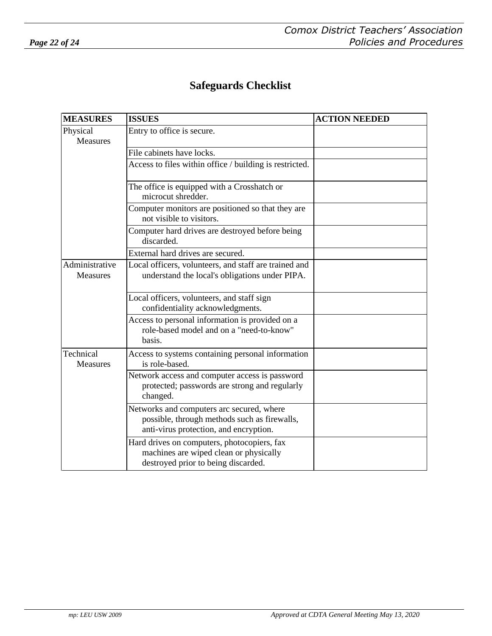# **Safeguards Checklist**

| <b>MEASURES</b>              | <b>ISSUES</b>                                                                                                                       | <b>ACTION NEEDED</b> |
|------------------------------|-------------------------------------------------------------------------------------------------------------------------------------|----------------------|
| Physical<br><b>Measures</b>  | Entry to office is secure.                                                                                                          |                      |
|                              | File cabinets have locks.                                                                                                           |                      |
|                              | Access to files within office / building is restricted.                                                                             |                      |
|                              | The office is equipped with a Crosshatch or<br>microcut shredder.                                                                   |                      |
|                              | Computer monitors are positioned so that they are<br>not visible to visitors.                                                       |                      |
|                              | Computer hard drives are destroyed before being<br>discarded.                                                                       |                      |
|                              | External hard drives are secured.                                                                                                   |                      |
| Administrative<br>Measures   | Local officers, volunteers, and staff are trained and<br>understand the local's obligations under PIPA.                             |                      |
|                              | Local officers, volunteers, and staff sign<br>confidentiality acknowledgments.                                                      |                      |
|                              | Access to personal information is provided on a<br>role-based model and on a "need-to-know"<br>basis.                               |                      |
| Technical<br><b>Measures</b> | Access to systems containing personal information<br>is role-based.                                                                 |                      |
|                              | Network access and computer access is password<br>protected; passwords are strong and regularly<br>changed.                         |                      |
|                              | Networks and computers arc secured, where<br>possible, through methods such as firewalls,<br>anti-virus protection, and encryption. |                      |
|                              | Hard drives on computers, photocopiers, fax<br>machines are wiped clean or physically<br>destroyed prior to being discarded.        |                      |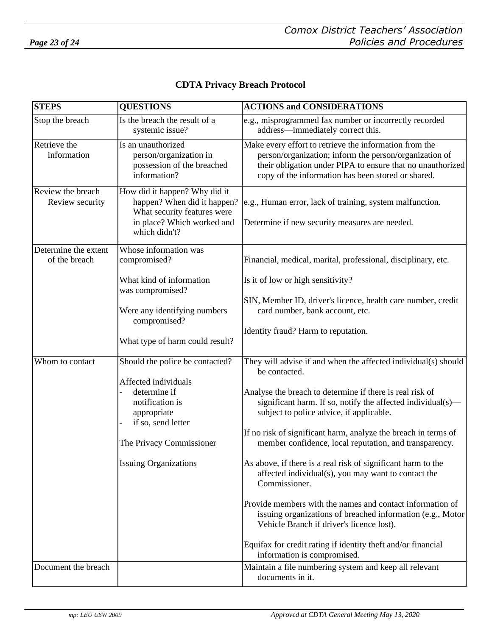| <b>CDTA Privacy Breach Protocol</b> |
|-------------------------------------|
|-------------------------------------|

| <b>STEPS</b>                          | <b>QUESTIONS</b>                                                                                                                           | <b>ACTIONS and CONSIDERATIONS</b>                                                                                                                                                                                                    |
|---------------------------------------|--------------------------------------------------------------------------------------------------------------------------------------------|--------------------------------------------------------------------------------------------------------------------------------------------------------------------------------------------------------------------------------------|
| Stop the breach                       | Is the breach the result of a<br>systemic issue?                                                                                           | e.g., misprogrammed fax number or incorrectly recorded<br>address—immediately correct this.                                                                                                                                          |
| Retrieve the<br>information           | Is an unauthorized<br>person/organization in<br>possession of the breached<br>information?                                                 | Make every effort to retrieve the information from the<br>person/organization; inform the person/organization of<br>their obligation under PIPA to ensure that no unauthorized<br>copy of the information has been stored or shared. |
| Review the breach<br>Review security  | How did it happen? Why did it<br>happen? When did it happen?<br>What security features were<br>in place? Which worked and<br>which didn't? | e.g., Human error, lack of training, system malfunction.<br>Determine if new security measures are needed.                                                                                                                           |
| Determine the extent<br>of the breach | Whose information was<br>compromised?                                                                                                      | Financial, medical, marital, professional, disciplinary, etc.                                                                                                                                                                        |
|                                       | What kind of information<br>was compromised?                                                                                               | Is it of low or high sensitivity?                                                                                                                                                                                                    |
|                                       | Were any identifying numbers<br>compromised?                                                                                               | SIN, Member ID, driver's licence, health care number, credit<br>card number, bank account, etc.                                                                                                                                      |
|                                       | What type of harm could result?                                                                                                            | Identity fraud? Harm to reputation.                                                                                                                                                                                                  |
| Whom to contact                       | Should the police be contacted?                                                                                                            | They will advise if and when the affected individual(s) should<br>be contacted.                                                                                                                                                      |
|                                       | Affected individuals<br>determine if<br>notification is<br>appropriate<br>if so, send letter                                               | Analyse the breach to determine if there is real risk of<br>significant harm. If so, notify the affected individual(s)—<br>subject to police advice, if applicable.                                                                  |
|                                       | The Privacy Commissioner                                                                                                                   | If no risk of significant harm, analyze the breach in terms of<br>member confidence, local reputation, and transparency.                                                                                                             |
|                                       | <b>Issuing Organizations</b>                                                                                                               | As above, if there is a real risk of significant harm to the<br>affected individual(s), you may want to contact the<br>Commissioner.                                                                                                 |
|                                       |                                                                                                                                            | Provide members with the names and contact information of<br>issuing organizations of breached information (e.g., Motor<br>Vehicle Branch if driver's licence lost).                                                                 |
|                                       |                                                                                                                                            | Equifax for credit rating if identity theft and/or financial<br>information is compromised.                                                                                                                                          |
| Document the breach                   |                                                                                                                                            | Maintain a file numbering system and keep all relevant<br>documents in it.                                                                                                                                                           |